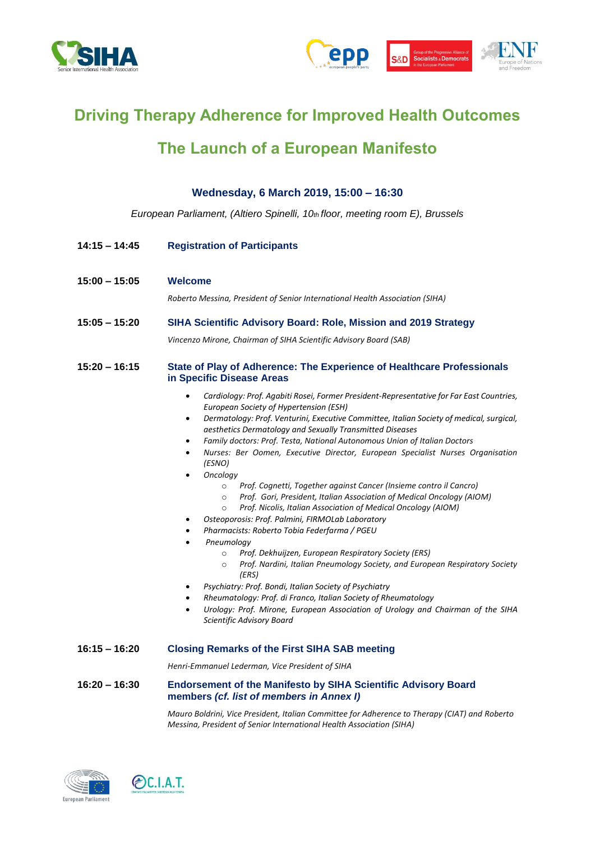



# **Driving Therapy Adherence for Improved Health Outcomes**

# **The Launch of a European Manifesto**

**Wednesday, 6 March 2019, 15:00 – 16:30**

| European Parliament, (Altiero Spinelli, 10th floor, meeting room E), Brussels |                                                                                                                                                                                                                                                                                                                                                                                                                                                                                                                                                                                                                                                                                                                                                                                                                                                                                                                                                                                                                                                                                                                                                                                                                                                        |
|-------------------------------------------------------------------------------|--------------------------------------------------------------------------------------------------------------------------------------------------------------------------------------------------------------------------------------------------------------------------------------------------------------------------------------------------------------------------------------------------------------------------------------------------------------------------------------------------------------------------------------------------------------------------------------------------------------------------------------------------------------------------------------------------------------------------------------------------------------------------------------------------------------------------------------------------------------------------------------------------------------------------------------------------------------------------------------------------------------------------------------------------------------------------------------------------------------------------------------------------------------------------------------------------------------------------------------------------------|
| $14:15 - 14:45$                                                               | <b>Registration of Participants</b>                                                                                                                                                                                                                                                                                                                                                                                                                                                                                                                                                                                                                                                                                                                                                                                                                                                                                                                                                                                                                                                                                                                                                                                                                    |
| 15:00 – 15:05                                                                 | <b>Welcome</b><br>Roberto Messina, President of Senior International Health Association (SIHA)                                                                                                                                                                                                                                                                                                                                                                                                                                                                                                                                                                                                                                                                                                                                                                                                                                                                                                                                                                                                                                                                                                                                                         |
| 15:05 – 15:20                                                                 | SIHA Scientific Advisory Board: Role, Mission and 2019 Strategy<br>Vincenzo Mirone, Chairman of SIHA Scientific Advisory Board (SAB)                                                                                                                                                                                                                                                                                                                                                                                                                                                                                                                                                                                                                                                                                                                                                                                                                                                                                                                                                                                                                                                                                                                   |
| $15:20 - 16:15$                                                               | State of Play of Adherence: The Experience of Healthcare Professionals<br>in Specific Disease Areas<br>Cardiology: Prof. Agabiti Rosei, Former President-Representative for Far East Countries,<br>$\bullet$                                                                                                                                                                                                                                                                                                                                                                                                                                                                                                                                                                                                                                                                                                                                                                                                                                                                                                                                                                                                                                           |
|                                                                               | European Society of Hypertension (ESH)<br>Dermatology: Prof. Venturini, Executive Committee, Italian Society of medical, surgical,<br>$\bullet$<br>aesthetics Dermatology and Sexually Transmitted Diseases<br>Family doctors: Prof. Testa, National Autonomous Union of Italian Doctors<br>Nurses: Ber Oomen, Executive Director, European Specialist Nurses Organisation<br>(ESNO)<br>Oncology<br>$\bullet$<br>Prof. Cognetti, Together against Cancer (Insieme contro il Cancro)<br>$\circ$<br>Prof. Gori, President, Italian Association of Medical Oncology (AIOM)<br>$\circ$<br>Prof. Nicolis, Italian Association of Medical Oncology (AIOM)<br>$\circ$<br>Osteoporosis: Prof. Palmini, FIRMOLab Laboratory<br>$\bullet$<br>Pharmacists: Roberto Tobia Federfarma / PGEU<br>Pneumology<br>$\bullet$<br>Prof. Dekhuijzen, European Respiratory Society (ERS)<br>$\circ$<br>Prof. Nardini, Italian Pneumology Society, and European Respiratory Society<br>$\circ$<br>(ERS)<br>Psychiatry: Prof. Bondi, Italian Society of Psychiatry<br>$\bullet$<br>Rheumatology: Prof. di Franco, Italian Society of Rheumatology<br>Urology: Prof. Mirone, European Association of Urology and Chairman of the SIHA<br>$\bullet$<br>Scientific Advisory Board |
| $16:15 - 16:20$                                                               | <b>Closing Remarks of the First SIHA SAB meeting</b>                                                                                                                                                                                                                                                                                                                                                                                                                                                                                                                                                                                                                                                                                                                                                                                                                                                                                                                                                                                                                                                                                                                                                                                                   |
|                                                                               | Henri-Emmanuel Lederman, Vice President of SIHA                                                                                                                                                                                                                                                                                                                                                                                                                                                                                                                                                                                                                                                                                                                                                                                                                                                                                                                                                                                                                                                                                                                                                                                                        |
| 16:20 – 16:30                                                                 | <b>Endorsement of the Manifesto by SIHA Scientific Advisory Board</b><br>members (cf. list of members in Annex I)                                                                                                                                                                                                                                                                                                                                                                                                                                                                                                                                                                                                                                                                                                                                                                                                                                                                                                                                                                                                                                                                                                                                      |

*Mauro Boldrini, Vice President, Italian Committee for Adherence to Therapy (CIAT) and Roberto Messina, President of Senior International Health Association (SIHA)*



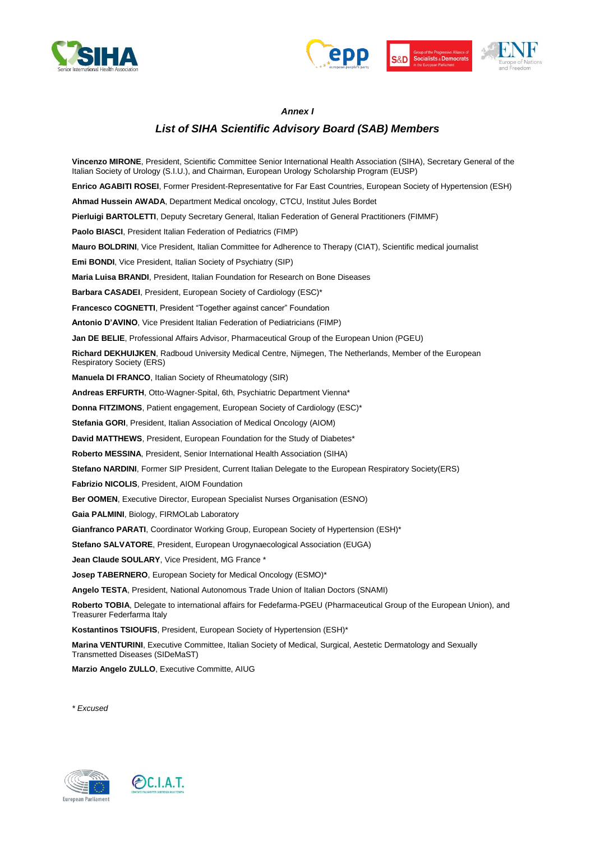



#### *Annex I*

#### *List of SIHA Scientific Advisory Board (SAB) Members*

**Vincenzo MIRONE**, President, Scientific Committee Senior International Health Association (SIHA), Secretary General of the Italian Society of Urology (S.I.U.), and Chairman, European Urology Scholarship Program (EUSP) **Enrico AGABITI ROSEI**, Former President-Representative for Far East Countries, European Society of Hypertension (ESH) **Ahmad Hussein AWADA**, Department Medical oncology, CTCU, Institut Jules Bordet **Pierluigi BARTOLETTI**, Deputy Secretary General, Italian Federation of General Practitioners (FIMMF) **Paolo BIASCI**, President Italian Federation of Pediatrics (FIMP) **Mauro BOLDRINI**, Vice President, Italian Committee for Adherence to Therapy (CIAT), Scientific medical journalist **Emi BONDI**, Vice President, Italian Society of Psychiatry (SIP) **Maria Luisa BRANDI**, President, Italian Foundation for Research on Bone Diseases **Barbara CASADEI**, President, European Society of Cardiology (ESC)\* **Francesco COGNETTI**, President "Together against cancer" Foundation **Antonio D'AVINO**, Vice President Italian Federation of Pediatricians (FIMP) **Jan DE BELIE**, Professional Affairs Advisor, Pharmaceutical Group of the European Union (PGEU) **Richard DEKHUIJKEN**, Radboud University Medical Centre, Nijmegen, The Netherlands, Member of the European Respiratory Society (ERS) **Manuela DI FRANCO**, Italian Society of Rheumatology (SIR) **Andreas ERFURTH**, Otto-Wagner-Spital, 6th, Psychiatric Department Vienna\* **Donna FITZIMONS**, Patient engagement, European Society of Cardiology (ESC)\* **Stefania GORI**, President, Italian Association of Medical Oncology (AIOM) **David MATTHEWS**, President, European Foundation for the Study of Diabetes\* **Roberto MESSINA**, President, Senior International Health Association (SIHA) **Stefano NARDINI**, Former SIP President, Current Italian Delegate to the European Respiratory Society(ERS) **Fabrizio NICOLIS**, President, AIOM Foundation **Ber OOMEN**, Executive Director, European Specialist Nurses Organisation (ESNO) **Gaia PALMINI**, Biology, FIRMOLab Laboratory Gianfranco PARATI, Coordinator Working Group, European Society of Hypertension (ESH)\* **Stefano SALVATORE**, President, European Urogynaecological Association (EUGA) **Jean Claude SOULARY**, Vice President, MG France \* **Josep TABERNERO**, European Society for Medical Oncology (ESMO)\* **Angelo TESTA**, President, National Autonomous Trade Union of Italian Doctors (SNAMI) **Roberto TOBIA**, Delegate to international affairs for Fedefarma-PGEU (Pharmaceutical Group of the European Union), and Treasurer Federfarma Italy **Kostantinos TSIOUFIS**, President, European Society of Hypertension (ESH)\* **Marina VENTURINI**, Executive Committee, Italian Society of Medical, Surgical, Aestetic Dermatology and Sexually Transmetted Diseases (SIDeMaST)

**Marzio Angelo ZULLO**, Executive Committe, AIUG

*\* Excused*